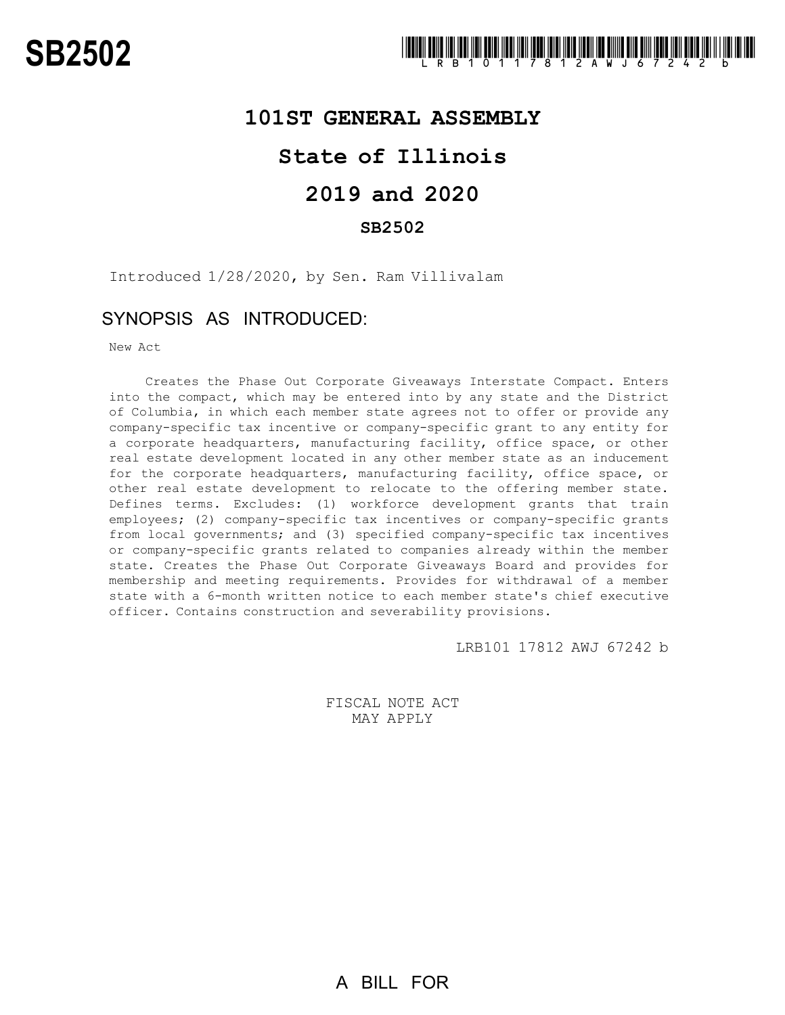## **101ST GENERAL ASSEMBLY**

# **State of Illinois**

# **2019 and 2020**

### **SB2502**

Introduced 1/28/2020, by Sen. Ram Villivalam

## SYNOPSIS AS INTRODUCED:

New Act

Creates the Phase Out Corporate Giveaways Interstate Compact. Enters into the compact, which may be entered into by any state and the District of Columbia, in which each member state agrees not to offer or provide any company-specific tax incentive or company-specific grant to any entity for a corporate headquarters, manufacturing facility, office space, or other real estate development located in any other member state as an inducement for the corporate headquarters, manufacturing facility, office space, or other real estate development to relocate to the offering member state. Defines terms. Excludes: (1) workforce development grants that train employees; (2) company-specific tax incentives or company-specific grants from local governments; and (3) specified company-specific tax incentives or company-specific grants related to companies already within the member state. Creates the Phase Out Corporate Giveaways Board and provides for membership and meeting requirements. Provides for withdrawal of a member state with a 6-month written notice to each member state's chief executive officer. Contains construction and severability provisions.

LRB101 17812 AWJ 67242 b

FISCAL NOTE ACT MAY APPLY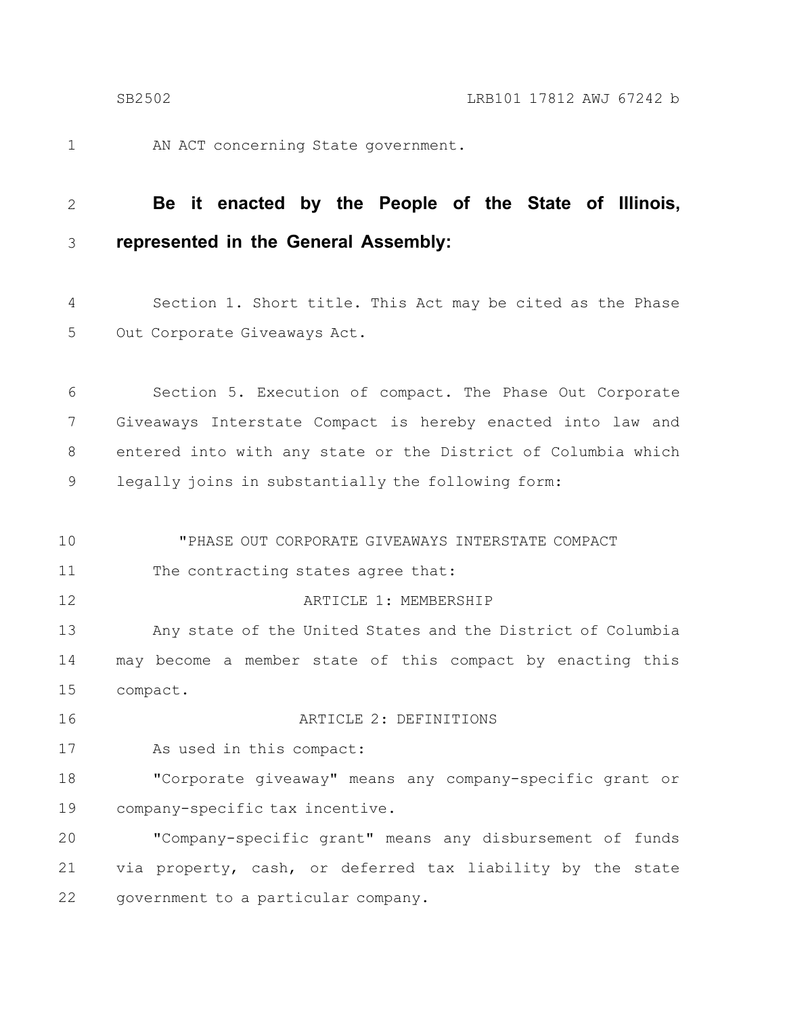AN ACT concerning State government. 1

#### **Be it enacted by the People of the State of Illinois, represented in the General Assembly:** 2 3

Section 1. Short title. This Act may be cited as the Phase Out Corporate Giveaways Act. 4 5

Section 5. Execution of compact. The Phase Out Corporate Giveaways Interstate Compact is hereby enacted into law and entered into with any state or the District of Columbia which legally joins in substantially the following form: 6 7 8 9

"PHASE OUT CORPORATE GIVEAWAYS INTERSTATE COMPACT The contracting states agree that: ARTICLE 1: MEMBERSHIP Any state of the United States and the District of Columbia may become a member state of this compact by enacting this compact. ARTICLE 2: DEFINITIONS As used in this compact: "Corporate giveaway" means any company-specific grant or company-specific tax incentive. "Company-specific grant" means any disbursement of funds via property, cash, or deferred tax liability by the state 10 11 12 13 14 15 16 17 18 19 20 21

government to a particular company. 22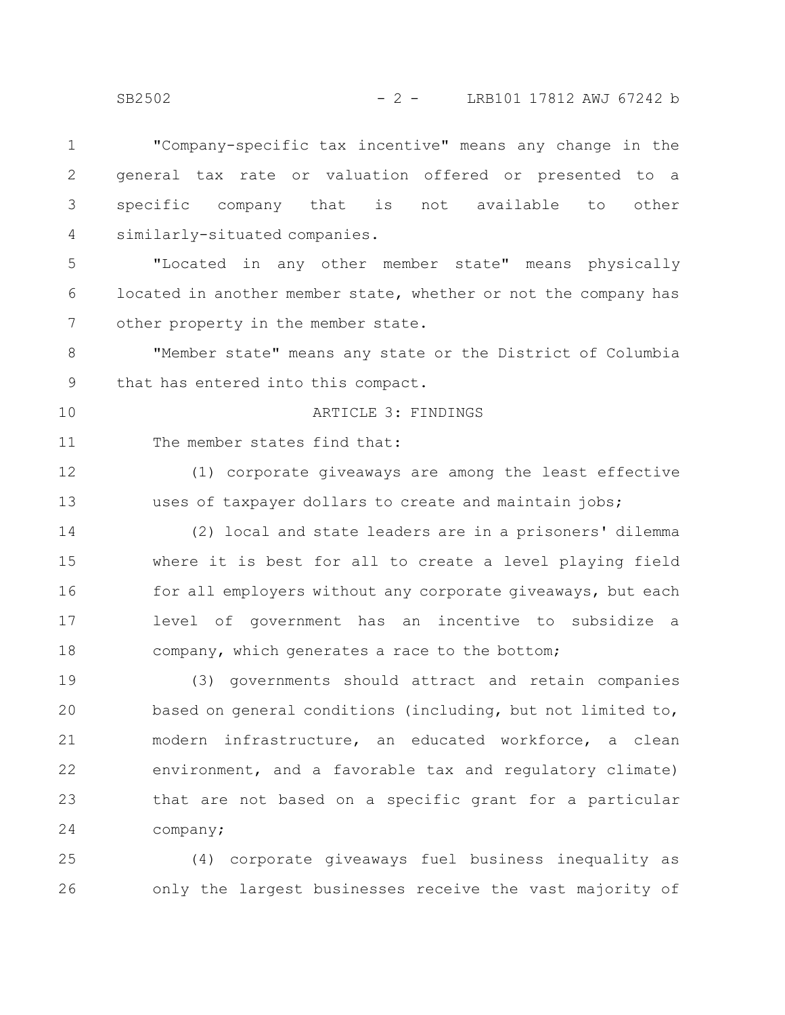"Company-specific tax incentive" means any change in the general tax rate or valuation offered or presented to a specific company that is not available to other similarly-situated companies. "Located in any other member state" means physically located in another member state, whether or not the company has other property in the member state. "Member state" means any state or the District of Columbia that has entered into this compact. ARTICLE 3: FINDINGS The member states find that: (1) corporate giveaways are among the least effective uses of taxpayer dollars to create and maintain jobs; (2) local and state leaders are in a prisoners' dilemma where it is best for all to create a level playing field for all employers without any corporate giveaways, but each level of government has an incentive to subsidize a company, which generates a race to the bottom; (3) governments should attract and retain companies based on general conditions (including, but not limited to, modern infrastructure, an educated workforce, a clean environment, and a favorable tax and regulatory climate) that are not based on a specific grant for a particular 1 2 3 4 5 6 7 8 9 10 11 12 13 14 15 16 17 18 19 20 21 22 23

(4) corporate giveaways fuel business inequality as only the largest businesses receive the vast majority of 25 26

company;

24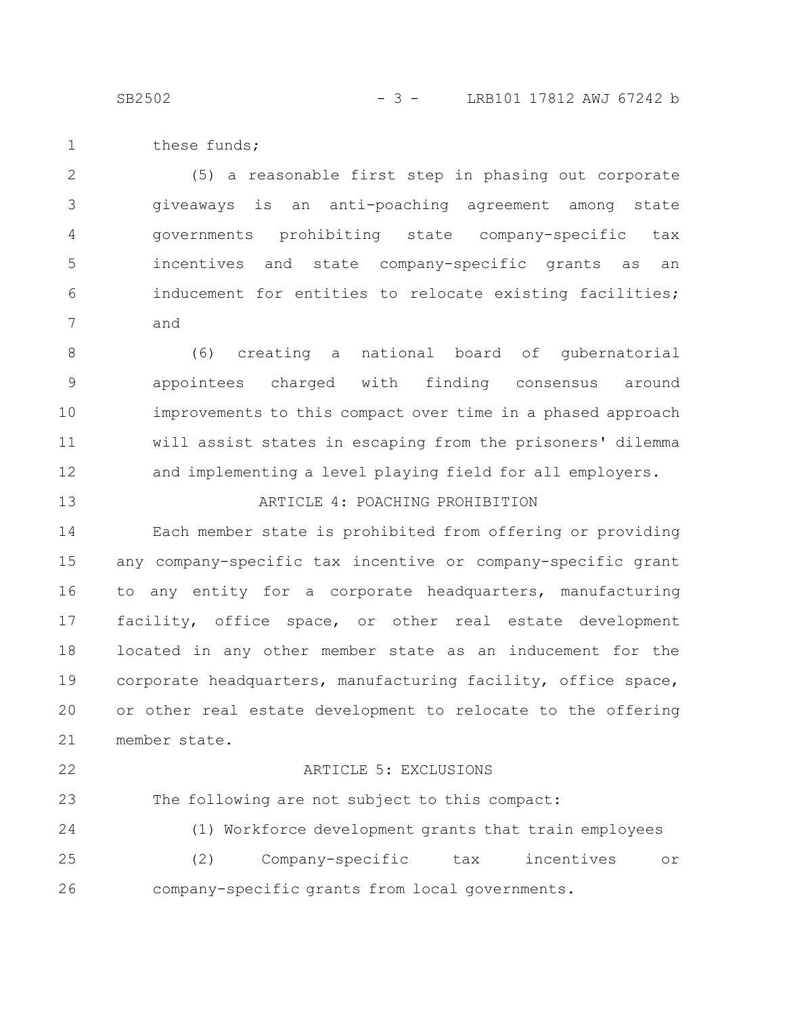SB2502 - 3 - LRB101 17812 AWJ 67242 b

these funds; 1

(5) a reasonable first step in phasing out corporate giveaways is an anti-poaching agreement among state governments prohibiting state company-specific tax incentives and state company-specific grants as an inducement for entities to relocate existing facilities; and 2 3 4 5 6 7

(6) creating a national board of gubernatorial appointees charged with finding consensus around improvements to this compact over time in a phased approach will assist states in escaping from the prisoners' dilemma and implementing a level playing field for all employers. 8 9 10 11 12

ARTICLE 4: POACHING PROHIBITION

Each member state is prohibited from offering or providing any company-specific tax incentive or company-specific grant to any entity for a corporate headquarters, manufacturing

facility, office space, or other real estate development located in any other member state as an inducement for the corporate headquarters, manufacturing facility, office space, or other real estate development to relocate to the offering member state. 17 18 19 20 21

22

13

14

15

16

### ARTICLE 5: EXCLUSIONS

The following are not subject to this compact: 23

(1) Workforce development grants that train employees (2) Company-specific tax incentives or company-specific grants from local governments. 24 25 26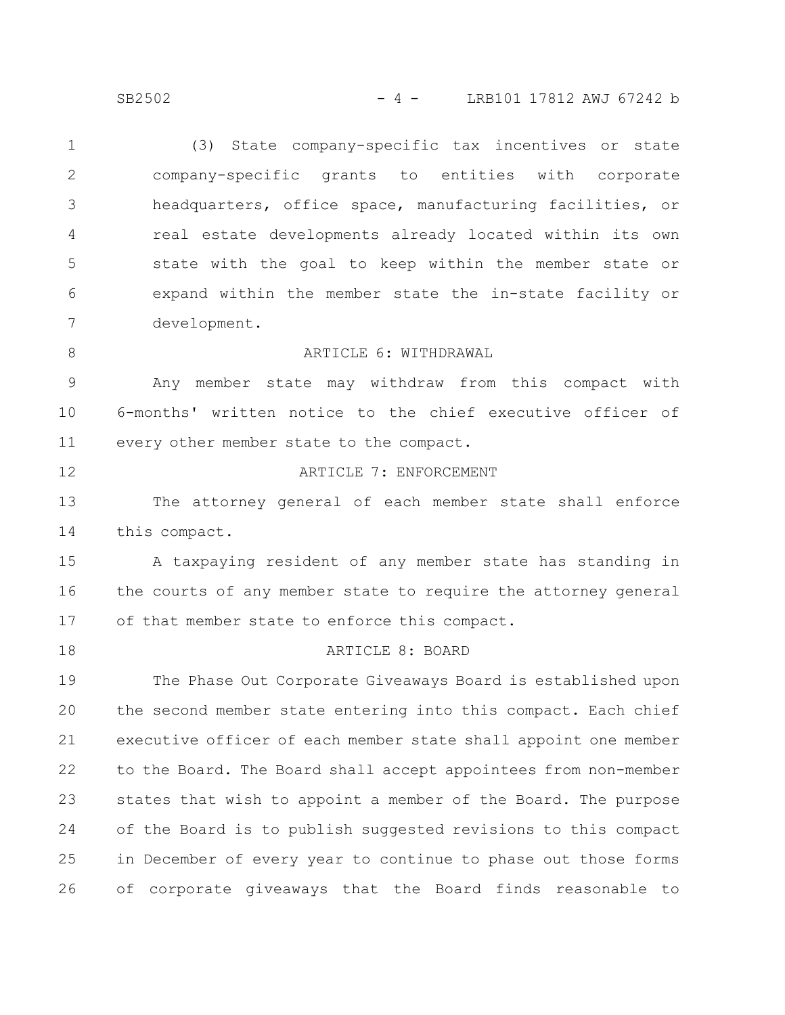SB2502 - 4 - LRB101 17812 AWJ 67242 b

(3) State company-specific tax incentives or state company-specific grants to entities with corporate headquarters, office space, manufacturing facilities, or real estate developments already located within its own state with the goal to keep within the member state or expand within the member state the in-state facility or development. 1 2 3 4 5 6 7

ARTICLE 6: WITHDRAWAL

Any member state may withdraw from this compact with 6-months' written notice to the chief executive officer of every other member state to the compact. 9 10 11

12

8

### ARTICLE 7: ENFORCEMENT

The attorney general of each member state shall enforce this compact. 13 14

A taxpaying resident of any member state has standing in the courts of any member state to require the attorney general of that member state to enforce this compact. 15 16 17

18

#### ARTICLE 8: BOARD

The Phase Out Corporate Giveaways Board is established upon the second member state entering into this compact. Each chief executive officer of each member state shall appoint one member to the Board. The Board shall accept appointees from non-member states that wish to appoint a member of the Board. The purpose of the Board is to publish suggested revisions to this compact in December of every year to continue to phase out those forms of corporate giveaways that the Board finds reasonable to 19 20 21 22 23 24 25 26